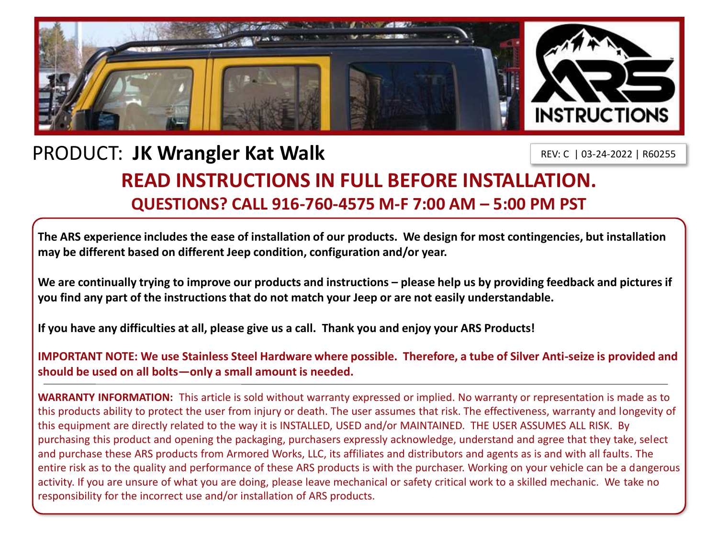

## PRODUCT: **JK Wrangler Kat Walk**

REV: C | 03-24-2022 | R60255

## **READ INSTRUCTIONS IN FULL BEFORE INSTALLATION. QUESTIONS? CALL 916-760-4575 M-F 7:00 AM – 5:00 PM PST**

**The ARS experience includes the ease of installation of our products. We design for most contingencies, but installation may be different based on different Jeep condition, configuration and/or year.**

We are continually trying to improve our products and instructions – please help us by providing feedback and pictures if **you find any part of the instructions that do not match your Jeep or are not easily understandable.** 

**If you have any difficulties at all, please give us a call. Thank you and enjoy your ARS Products!** 

**IMPORTANT NOTE: We use Stainless Steel Hardware where possible. Therefore, a tube of Silver Anti-seize is provided and should be used on all bolts—only a small amount is needed.**

**WARRANTY INFORMATION:** This article is sold without warranty expressed or implied. No warranty or representation is made as to this products ability to protect the user from injury or death. The user assumes that risk. The effectiveness, warranty and longevity of this equipment are directly related to the way it is INSTALLED, USED and/or MAINTAINED. THE USER ASSUMES ALL RISK. By purchasing this product and opening the packaging, purchasers expressly acknowledge, understand and agree that they take, select and purchase these ARS products from Armored Works, LLC, its affiliates and distributors and agents as is and with all faults. The entire risk as to the quality and performance of these ARS products is with the purchaser. Working on your vehicle can be a dangerous activity. If you are unsure of what you are doing, please leave mechanical or safety critical work to a skilled mechanic. We take no responsibility for the incorrect use and/or installation of ARS products.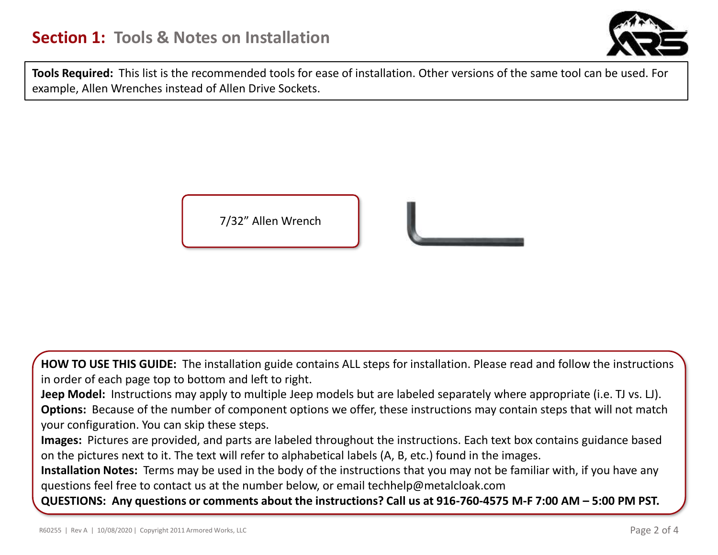

**Tools Required:** This list is the recommended tools for ease of installation. Other versions of the same tool can be used. For example, Allen Wrenches instead of Allen Drive Sockets.



**HOW TO USE THIS GUIDE:** The installation guide contains ALL steps for installation. Please read and follow the instructions in order of each page top to bottom and left to right.

**Jeep Model:** Instructions may apply to multiple Jeep models but are labeled separately where appropriate (i.e. TJ vs. LJ). **Options:** Because of the number of component options we offer, these instructions may contain steps that will not match your configuration. You can skip these steps.

**Images:** Pictures are provided, and parts are labeled throughout the instructions. Each text box contains guidance based on the pictures next to it. The text will refer to alphabetical labels (A, B, etc.) found in the images.

**Installation Notes:** Terms may be used in the body of the instructions that you may not be familiar with, if you have any questions feel free to contact us at the number below, or email techhelp@metalcloak.com

**QUESTIONS: Any questions or comments about the instructions? Call us at 916-760-4575 M-F 7:00 AM – 5:00 PM PST.**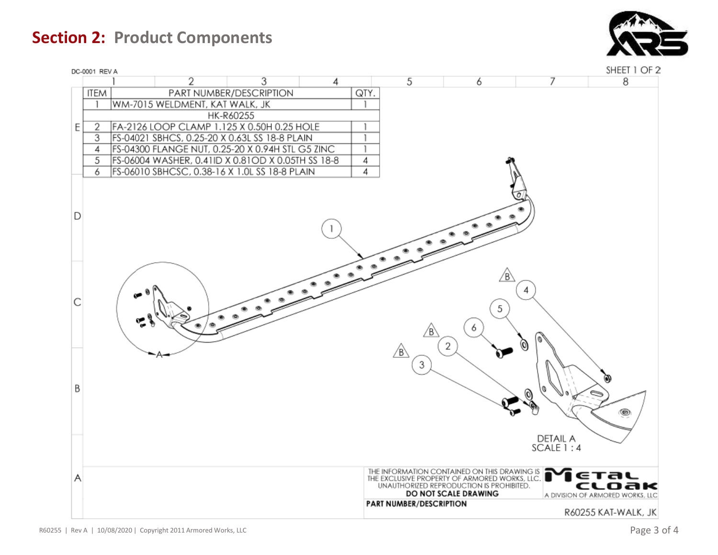**Section 2: Product Components**